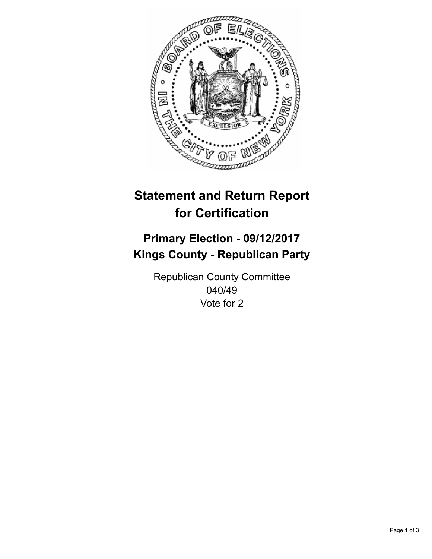

## **Statement and Return Report for Certification**

## **Primary Election - 09/12/2017 Kings County - Republican Party**

Republican County Committee 040/49 Vote for 2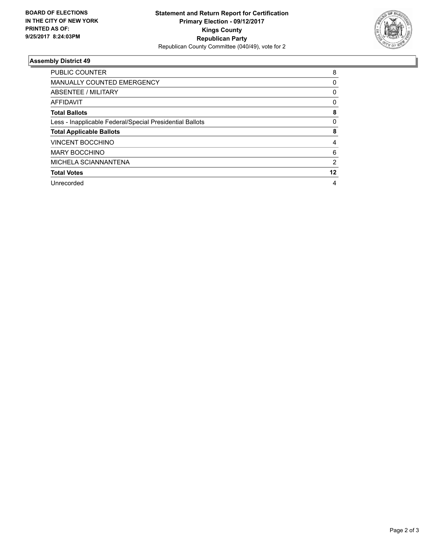

## **Assembly District 49**

| <b>PUBLIC COUNTER</b>                                    | 8  |
|----------------------------------------------------------|----|
| <b>MANUALLY COUNTED EMERGENCY</b>                        | 0  |
| ABSENTEE / MILITARY                                      | 0  |
| <b>AFFIDAVIT</b>                                         | 0  |
| <b>Total Ballots</b>                                     | 8  |
| Less - Inapplicable Federal/Special Presidential Ballots | 0  |
| <b>Total Applicable Ballots</b>                          | 8  |
| <b>VINCENT BOCCHINO</b>                                  | 4  |
| <b>MARY BOCCHINO</b>                                     | 6  |
| MICHELA SCIANNANTENA                                     | 2  |
| <b>Total Votes</b>                                       | 12 |
| Unrecorded                                               | 4  |